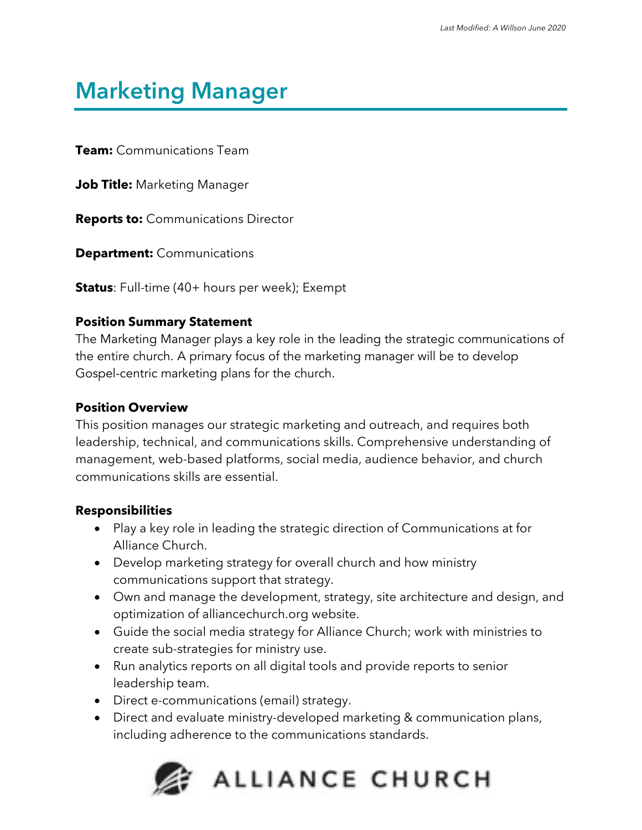## **Marketing Manager**

**Team:** Communications Team

**Job Title:** Marketing Manager

**Reports to:** Communications Director

**Department:** Communications

**Status**: Full-time (40+ hours per week); Exempt

#### **Position Summary Statement**

The Marketing Manager plays a key role in the leading the strategic communications of the entire church. A primary focus of the marketing manager will be to develop Gospel-centric marketing plans for the church.

#### **Position Overview**

This position manages our strategic marketing and outreach, and requires both leadership, technical, and communications skills. Comprehensive understanding of management, web-based platforms, social media, audience behavior, and church communications skills are essential.

#### **Responsibilities**

- Play a key role in leading the strategic direction of Communications at for Alliance Church.
- Develop marketing strategy for overall church and how ministry communications support that strategy.
- Own and manage the development, strategy, site architecture and design, and optimization of alliancechurch.org website.
- Guide the social media strategy for Alliance Church; work with ministries to create sub-strategies for ministry use.
- Run analytics reports on all digital tools and provide reports to senior leadership team.
- Direct e-communications (email) strategy.
- Direct and evaluate ministry-developed marketing & communication plans, including adherence to the communications standards.

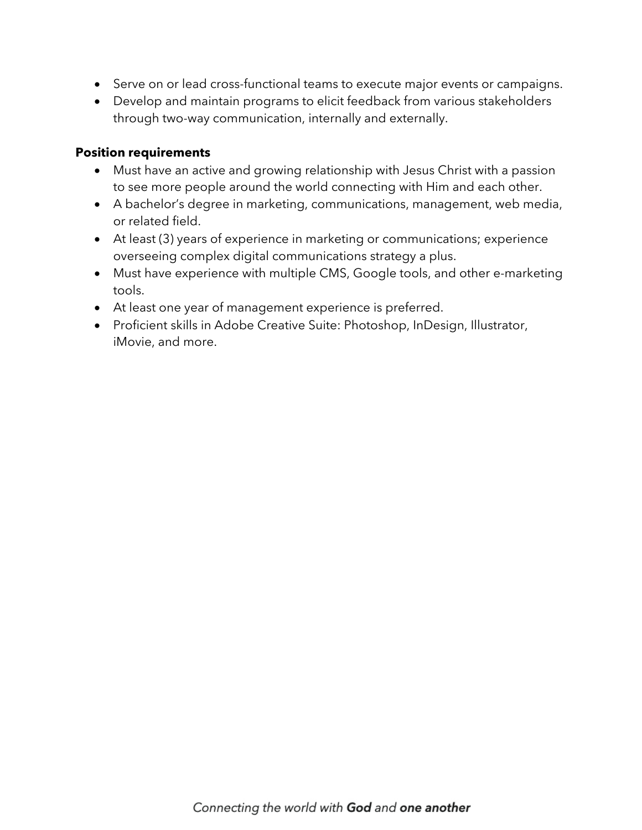- Serve on or lead cross-functional teams to execute major events or campaigns.
- Develop and maintain programs to elicit feedback from various stakeholders through two-way communication, internally and externally.

#### **Position requirements**

- Must have an active and growing relationship with Jesus Christ with a passion to see more people around the world connecting with Him and each other.
- A bachelor's degree in marketing, communications, management, web media, or related field.
- At least (3) years of experience in marketing or communications; experience overseeing complex digital communications strategy a plus.
- Must have experience with multiple CMS, Google tools, and other e-marketing tools.
- At least one year of management experience is preferred.
- Proficient skills in Adobe Creative Suite: Photoshop, InDesign, Illustrator, iMovie, and more.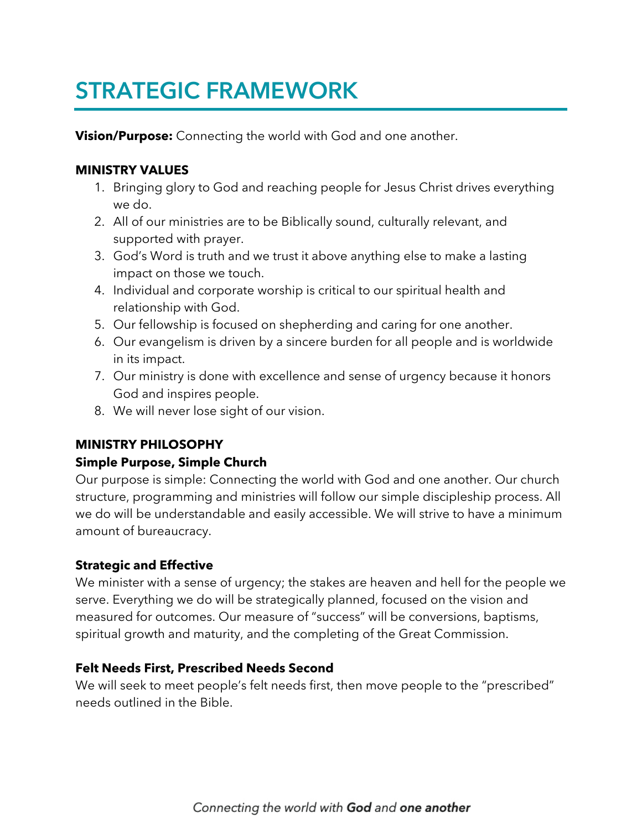# **STRATEGIC FRAMEWORK**

**Vision/Purpose:** Connecting the world with God and one another.

## **MINISTRY VALUES**

- 1. Bringing glory to God and reaching people for Jesus Christ drives everything we do.
- 2. All of our ministries are to be Biblically sound, culturally relevant, and supported with prayer.
- 3. God's Word is truth and we trust it above anything else to make a lasting impact on those we touch.
- 4. Individual and corporate worship is critical to our spiritual health and relationship with God.
- 5. Our fellowship is focused on shepherding and caring for one another.
- 6. Our evangelism is driven by a sincere burden for all people and is worldwide in its impact.
- 7. Our ministry is done with excellence and sense of urgency because it honors God and inspires people.
- 8. We will never lose sight of our vision.

## **MINISTRY PHILOSOPHY**

## **Simple Purpose, Simple Church**

Our purpose is simple: Connecting the world with God and one another. Our church structure, programming and ministries will follow our simple discipleship process. All we do will be understandable and easily accessible. We will strive to have a minimum amount of bureaucracy.

## **Strategic and Effective**

We minister with a sense of urgency; the stakes are heaven and hell for the people we serve. Everything we do will be strategically planned, focused on the vision and measured for outcomes. Our measure of "success" will be conversions, baptisms, spiritual growth and maturity, and the completing of the Great Commission.

#### **Felt Needs First, Prescribed Needs Second**

We will seek to meet people's felt needs first, then move people to the "prescribed" needs outlined in the Bible.